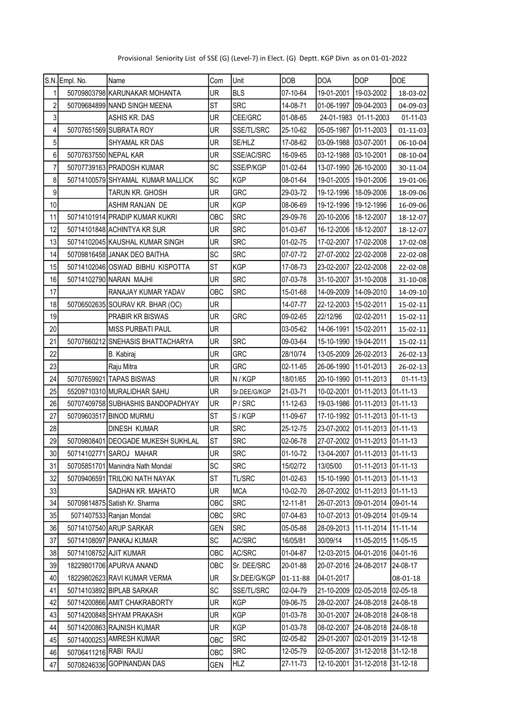| Provisional Seniority List of SSE (G) (Level-7) in Elect. (G) Deptt. KGP Divn as on 01-01-2022 |  |  |  |  |
|------------------------------------------------------------------------------------------------|--|--|--|--|
|------------------------------------------------------------------------------------------------|--|--|--|--|

|                         | S.N. Empl. No.         | Name                               | Com        | Unit          | <b>DOB</b>                        | <b>DOA</b> | <b>DOP</b>                     | <b>DOE</b>       |
|-------------------------|------------------------|------------------------------------|------------|---------------|-----------------------------------|------------|--------------------------------|------------------|
| 1                       |                        | 50709803798 KARUNAKAR MOHANTA      | <b>UR</b>  | <b>BLS</b>    | 07-10-64                          | 19-01-2001 | 19-03-2002                     | 18-03-02         |
| $\overline{\mathbf{c}}$ |                        | 50709684899 NAND SINGH MEENA       | <b>ST</b>  | <b>SRC</b>    | 14-08-71                          | 01-06-1997 | 09-04-2003                     | 04-09-03         |
| $\overline{3}$          |                        | ASHIS KR. DAS                      |            | CEE/GRC       | 01-08-65<br>24-01-1983 01-11-2003 |            |                                | 01-11-03         |
| 4                       |                        | 50707651569 SUBRATA ROY            | UR         | SSE/TL/SRC    | 25-10-62                          |            | 05-05-1987 01-11-2003          | 01-11-03         |
| $\overline{5}$          |                        | SHYAMAL KR DAS                     | UR         | SE/HLZ        | 17-08-62                          | 03-09-1988 | 03-07-2001                     | 06-10-04         |
| $6\vert$                | 50707637550 NEPAL KAR  |                                    | <b>UR</b>  | SSE/AC/SRC    | 16-09-65                          | 03-12-1988 | 03-10-2001                     | 08-10-04         |
| $\overline{7}$          |                        | 50707739163 PRADOSH KUMAR          | <b>SC</b>  | SSE/P/KGP     | 01-02-64                          | 13-07-1990 | 26-10-2000                     | 30-11-04         |
| 8                       |                        | 50714100579 SHYAMAL KUMAR MALLICK  | <b>SC</b>  | <b>KGP</b>    | 08-01-64                          | 19-01-2005 | 19-01-2006                     | 19-01-06         |
| 9                       |                        | TARUN KR. GHOSH                    | UR         | <b>GRC</b>    | 29-03-72                          | 19-12-1996 | 18-09-2006                     | 18-09-06         |
| 10                      |                        | ASHIM RANJAN DE                    | UR         | <b>KGP</b>    | 08-06-69                          | 19-12-1996 | 19-12-1996                     | 16-09-06         |
| 11                      |                        | 50714101914 PRADIP KUMAR KUKRI     | OBC        | <b>SRC</b>    | 29-09-76                          | 20-10-2006 | 18-12-2007                     | 18-12-07         |
| 12                      |                        | 50714101848 ACHINTYA KR SUR        | <b>UR</b>  | <b>SRC</b>    | 01-03-67                          | 16-12-2006 | 18-12-2007                     | 18-12-07         |
| 13                      |                        | 50714102045 KAUSHAL KUMAR SINGH    | <b>UR</b>  | <b>SRC</b>    | 01-02-75                          | 17-02-2007 | 17-02-2008                     | 17-02-08         |
| 14                      |                        | 50709816458 JANAK DEO BAITHA       | <b>SC</b>  | <b>SRC</b>    | 07-07-72                          | 27-07-2002 | 22-02-2008                     | 22-02-08         |
| 15                      |                        | 50714102046 OSWAD BIBHU KISPOTTA   | <b>ST</b>  | <b>KGP</b>    | 17-08-73                          | 23-02-2007 | 22-02-2008                     | 22-02-08         |
| 16                      |                        | 50714102790 NARAN MAJHI            | UR         | <b>SRC</b>    | 07-03-78                          | 31-10-2007 | 31-10-2008                     | 31-10-08         |
| 17                      |                        | RANAJAY KUMAR YADAV                | OBC        | <b>SRC</b>    | 15-01-68                          | 14-09-2009 | 14-09-2010                     | 14-09-10         |
| 18                      |                        | 50706502635 SOURAV KR. BHAR (OC)   | UR         |               | 14-07-77                          | 22-12-2003 | 15-02-2011                     | 15-02-11         |
| 19                      |                        | PRABIR KR BISWAS                   | UR         | <b>GRC</b>    | 09-02-65                          | 22/12/96   | 02-02-2011                     | 15-02-11         |
| 20                      |                        | <b>MISS PURBATI PAUL</b>           | <b>UR</b>  |               | 03-05-62                          | 14-06-1991 | 15-02-2011                     | 15-02-11         |
| 21                      |                        | 50707660212 SNEHASIS BHATTACHARYA  | UR         | <b>SRC</b>    | 09-03-64                          | 15-10-1990 | 19-04-2011                     | 15-02-11         |
| 22                      |                        | B. Kabiraj                         | <b>UR</b>  | <b>GRC</b>    | 28/10/74                          | 13-05-2009 | 26-02-2013                     | 26-02-13         |
| 23                      |                        | Raju Mitra                         | UR         | <b>GRC</b>    | 02-11-65                          | 26-06-1990 | 11-01-2013                     | 26-02-13         |
| 24                      |                        | 50707659921 TAPAS BISWAS           | UR         | N/KGP         | 18/01/65                          | 20-10-1990 | 01-11-2013                     | $01 - 11 - 13$   |
| 25                      |                        | 55209710310 MURALIDHAR SAHU        | UR         | Sr.DEE/G/KGP  | 21-03-71                          | 10-02-2001 | 01-11-2013                     | 01-11-13         |
| 26                      |                        | 50707409758 SUBHASHIS BANDOPADHYAY | UR         | P/SRC         | 11-12-63                          | 19-03-1986 | 01-11-2013                     | 01-11-13         |
| 27                      |                        | 50709603517 BINOD MURMU            | <b>ST</b>  | S/KGP         | 11-09-67                          | 17-10-1992 | 01-11-2013                     | $[01 - 11 - 13]$ |
| 28                      |                        | <b>DINESH KUMAR</b>                | <b>UR</b>  | <b>SRC</b>    | 25-12-75                          | 23-07-2002 | 01-11-2013                     | $[01 - 11 - 13]$ |
| 29                      |                        | 50709808401 DEOGADE MUKESH SUKHLAL | <b>ST</b>  | <b>SRC</b>    | 02-06-78                          |            | 27-07-2002 01-11-2013 01-11-13 |                  |
| 30 <sup>1</sup>         |                        | 50714102771 SAROJ MAHAR            | UR         | <b>SRC</b>    | 01-10-72                          |            | 13-04-2007 01-11-2013 01-11-13 |                  |
| 31                      |                        | 50705851701 Manindra Nath Mondal   | <b>SC</b>  | <b>SRC</b>    | 15/02/72                          | 13/05/00   | 01-11-2013 01-11-13            |                  |
| 32                      |                        | 50709406591 TRILOKI NATH NAYAK     | <b>ST</b>  | <b>TL/SRC</b> | 01-02-63                          | 15-10-1990 | 01-11-2013                     | $01 - 11 - 13$   |
| 33                      |                        | SADHAN KR. MAHATO                  | UR         | <b>MCA</b>    | 10-02-70                          | 26-07-2002 | 01-11-2013                     | 01-11-13         |
| 34                      |                        | 50709814875 Satish Kr. Sharma      | OBC        | <b>SRC</b>    | 12-11-81                          | 26-07-2013 | 09-01-2014                     | 09-01-14         |
| 35                      |                        | 5071407533 Ranjan Mondal           | OBC        | <b>SRC</b>    | 07-04-83                          | 10-07-2013 | 01-09-2014                     | $01-09-14$       |
| 36                      |                        | 50714107540 ARUP SARKAR            | <b>GEN</b> | <b>SRC</b>    | 05-05-88                          | 28-09-2013 | 11-11-2014 11-11-14            |                  |
| 37                      |                        | 50714108097 PANKAJ KUMAR           | <b>SC</b>  | AC/SRC        | 16/05/81                          | 30/09/14   | 11-05-2015                     | 11-05-15         |
| 38                      | 50714108752 AJIT KUMAR |                                    | OBC        | AC/SRC        | 01-04-87                          | 12-03-2015 | 04-01-2016                     | 04-01-16         |
| 39                      |                        | 18229801706 APURVA ANAND           | OBC        | Sr. DEE/SRC   | 20-01-88                          | 20-07-2016 | 24-08-2017                     | 24-08-17         |
| 40                      |                        | 18229802623 RAVI KUMAR VERMA       | UR         | Sr.DEE/G/KGP  | 01-11-88                          | 04-01-2017 |                                | 08-01-18         |
| 41                      |                        | 50714103892 BIPLAB SARKAR          | <b>SC</b>  | SSE/TL/SRC    | 02-04-79                          | 21-10-2009 | 02-05-2018                     | 02-05-18         |
| 42                      |                        | 50714200866 AMIT CHAKRABORTY       | UR         | <b>KGP</b>    | 09-06-75                          | 28-02-2007 | 24-08-2018                     | 24-08-18         |
| 43                      |                        | 50714200848 SHYAM PRAKASH          | UR         | <b>KGP</b>    | 01-03-78                          | 30-01-2007 | 24-08-2018                     | 24-08-18         |
| 44                      |                        | 50714200863 RAJNISH KUMAR          | UR         | <b>KGP</b>    | 01-03-78                          | 08-02-2007 | 24-08-2018                     | 24-08-18         |
| 45                      |                        | 50714000253 AMRESH KUMAR           | OBC        | <b>SRC</b>    | 02-05-82                          | 29-01-2007 | 02-01-2019                     | 31-12-18         |
| 46                      | 50706411216 RABI RAJU  |                                    | OBC        | <b>SRC</b>    | 12-05-79                          | 02-05-2007 | 31-12-2018                     | 31-12-18         |
| 47                      |                        | 50708246336 GOPINANDAN DAS         | <b>GEN</b> | <b>HLZ</b>    | 27-11-73                          | 12-10-2001 | 31-12-2018                     | 31-12-18         |